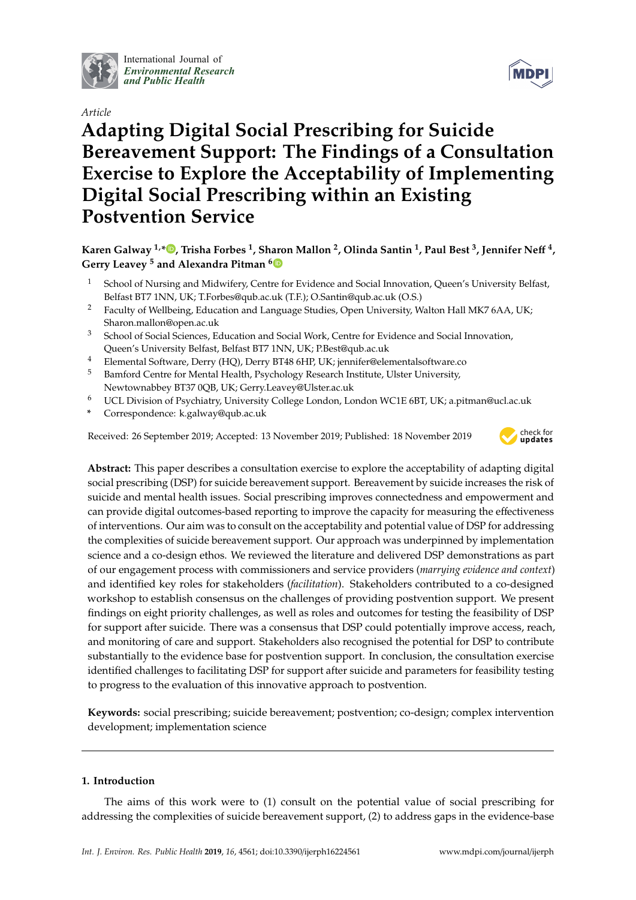

International Journal of *[Environmental Research](http://www.mdpi.com/journal/ijerph) and Public Health*





# **Adapting Digital Social Prescribing for Suicide Bereavement Support: The Findings of a Consultation Exercise to Explore the Acceptability of Implementing Digital Social Prescribing within an Existing Postvention Service**

## **Karen Galway 1,\* [,](https://orcid.org/0000-0002-4216-6135) Trisha Forbes <sup>1</sup> , Sharon Mallon <sup>2</sup> , Olinda Santin <sup>1</sup> , Paul Best <sup>3</sup> , Jennifer Ne**ff **4 , Gerry Leavey <sup>5</sup> and Alexandra Pitman [6](https://orcid.org/0000-0002-9742-1359)**

- <sup>1</sup> School of Nursing and Midwifery, Centre for Evidence and Social Innovation, Queen's University Belfast, Belfast BT7 1NN, UK; T.Forbes@qub.ac.uk (T.F.); O.Santin@qub.ac.uk (O.S.)
- <sup>2</sup> Faculty of Wellbeing, Education and Language Studies, Open University, Walton Hall MK7 6AA, UK; Sharon.mallon@open.ac.uk
- <sup>3</sup> School of Social Sciences, Education and Social Work, Centre for Evidence and Social Innovation, Queen's University Belfast, Belfast BT7 1NN, UK; P.Best@qub.ac.uk
- <sup>4</sup> Elemental Software, Derry (HQ), Derry BT48 6HP, UK; jennifer@elementalsoftware.co
- <sup>5</sup> Bamford Centre for Mental Health, Psychology Research Institute, Ulster University, Newtownabbey BT37 0QB, UK; Gerry.Leavey@Ulster.ac.uk
- <sup>6</sup> UCL Division of Psychiatry, University College London, London WC1E 6BT, UK; a.pitman@ucl.ac.uk
- **\*** Correspondence: k.galway@qub.ac.uk

Received: 26 September 2019; Accepted: 13 November 2019; Published: 18 November 2019



**Abstract:** This paper describes a consultation exercise to explore the acceptability of adapting digital social prescribing (DSP) for suicide bereavement support. Bereavement by suicide increases the risk of suicide and mental health issues. Social prescribing improves connectedness and empowerment and can provide digital outcomes-based reporting to improve the capacity for measuring the effectiveness of interventions. Our aim was to consult on the acceptability and potential value of DSP for addressing the complexities of suicide bereavement support. Our approach was underpinned by implementation science and a co-design ethos. We reviewed the literature and delivered DSP demonstrations as part of our engagement process with commissioners and service providers (*marrying evidence and context*) and identified key roles for stakeholders (*facilitation*). Stakeholders contributed to a co-designed workshop to establish consensus on the challenges of providing postvention support. We present findings on eight priority challenges, as well as roles and outcomes for testing the feasibility of DSP for support after suicide. There was a consensus that DSP could potentially improve access, reach, and monitoring of care and support. Stakeholders also recognised the potential for DSP to contribute substantially to the evidence base for postvention support. In conclusion, the consultation exercise identified challenges to facilitating DSP for support after suicide and parameters for feasibility testing to progress to the evaluation of this innovative approach to postvention.

**Keywords:** social prescribing; suicide bereavement; postvention; co-design; complex intervention development; implementation science

#### **1. Introduction**

The aims of this work were to (1) consult on the potential value of social prescribing for addressing the complexities of suicide bereavement support, (2) to address gaps in the evidence-base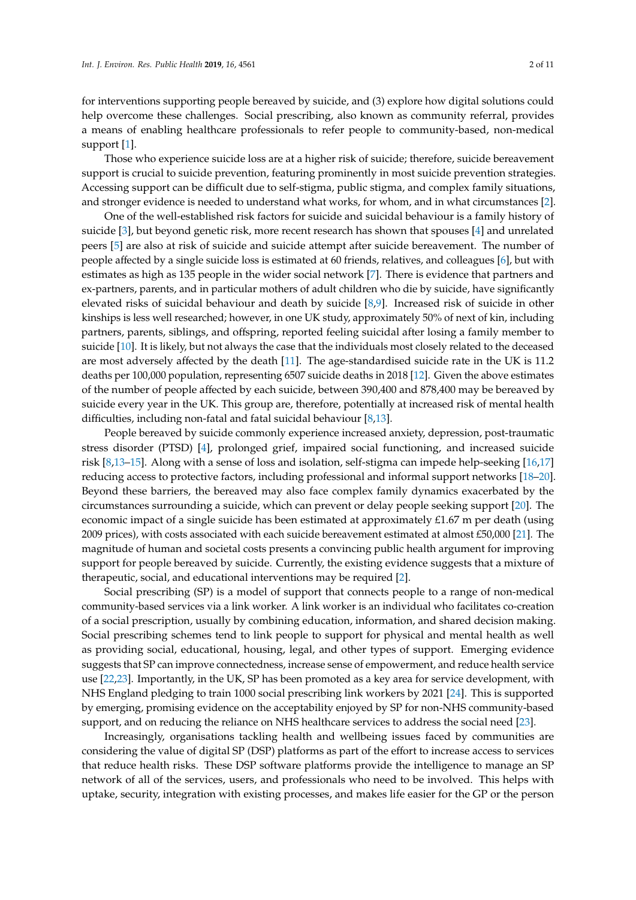for interventions supporting people bereaved by suicide, and (3) explore how digital solutions could help overcome these challenges. Social prescribing, also known as community referral, provides a means of enabling healthcare professionals to refer people to community-based, non-medical support [\[1\]](#page-9-0).

Those who experience suicide loss are at a higher risk of suicide; therefore, suicide bereavement support is crucial to suicide prevention, featuring prominently in most suicide prevention strategies. Accessing support can be difficult due to self-stigma, public stigma, and complex family situations, and stronger evidence is needed to understand what works, for whom, and in what circumstances [\[2\]](#page-9-1).

One of the well-established risk factors for suicide and suicidal behaviour is a family history of suicide [\[3\]](#page-9-2), but beyond genetic risk, more recent research has shown that spouses [\[4\]](#page-9-3) and unrelated peers [\[5\]](#page-9-4) are also at risk of suicide and suicide attempt after suicide bereavement. The number of people affected by a single suicide loss is estimated at 60 friends, relatives, and colleagues [\[6\]](#page-9-5), but with estimates as high as 135 people in the wider social network [\[7\]](#page-9-6). There is evidence that partners and ex-partners, parents, and in particular mothers of adult children who die by suicide, have significantly elevated risks of suicidal behaviour and death by suicide [\[8,](#page-9-7)[9\]](#page-9-8). Increased risk of suicide in other kinships is less well researched; however, in one UK study, approximately 50% of next of kin, including partners, parents, siblings, and offspring, reported feeling suicidal after losing a family member to suicide [\[10\]](#page-9-9). It is likely, but not always the case that the individuals most closely related to the deceased are most adversely affected by the death [\[11\]](#page-9-10). The age-standardised suicide rate in the UK is 11.2 deaths per 100,000 population, representing 6507 suicide deaths in 2018 [\[12\]](#page-9-11). Given the above estimates of the number of people affected by each suicide, between 390,400 and 878,400 may be bereaved by suicide every year in the UK. This group are, therefore, potentially at increased risk of mental health difficulties, including non-fatal and fatal suicidal behaviour [\[8,](#page-9-7)[13\]](#page-9-12).

People bereaved by suicide commonly experience increased anxiety, depression, post-traumatic stress disorder (PTSD) [\[4\]](#page-9-3), prolonged grief, impaired social functioning, and increased suicide risk [\[8](#page-9-7)[,13–](#page-9-12)[15\]](#page-9-13). Along with a sense of loss and isolation, self-stigma can impede help-seeking [\[16](#page-9-14)[,17\]](#page-9-15) reducing access to protective factors, including professional and informal support networks [\[18–](#page-9-16)[20\]](#page-10-0). Beyond these barriers, the bereaved may also face complex family dynamics exacerbated by the circumstances surrounding a suicide, which can prevent or delay people seeking support [\[20\]](#page-10-0). The economic impact of a single suicide has been estimated at approximately £1.67 m per death (using 2009 prices), with costs associated with each suicide bereavement estimated at almost £50,000 [\[21\]](#page-10-1). The magnitude of human and societal costs presents a convincing public health argument for improving support for people bereaved by suicide. Currently, the existing evidence suggests that a mixture of therapeutic, social, and educational interventions may be required [\[2\]](#page-9-1).

Social prescribing (SP) is a model of support that connects people to a range of non-medical community-based services via a link worker. A link worker is an individual who facilitates co-creation of a social prescription, usually by combining education, information, and shared decision making. Social prescribing schemes tend to link people to support for physical and mental health as well as providing social, educational, housing, legal, and other types of support. Emerging evidence suggests that SP can improve connectedness, increase sense of empowerment, and reduce health service use [\[22](#page-10-2)[,23\]](#page-10-3). Importantly, in the UK, SP has been promoted as a key area for service development, with NHS England pledging to train 1000 social prescribing link workers by 2021 [\[24\]](#page-10-4). This is supported by emerging, promising evidence on the acceptability enjoyed by SP for non-NHS community-based support, and on reducing the reliance on NHS healthcare services to address the social need [\[23\]](#page-10-3).

Increasingly, organisations tackling health and wellbeing issues faced by communities are considering the value of digital SP (DSP) platforms as part of the effort to increase access to services that reduce health risks. These DSP software platforms provide the intelligence to manage an SP network of all of the services, users, and professionals who need to be involved. This helps with uptake, security, integration with existing processes, and makes life easier for the GP or the person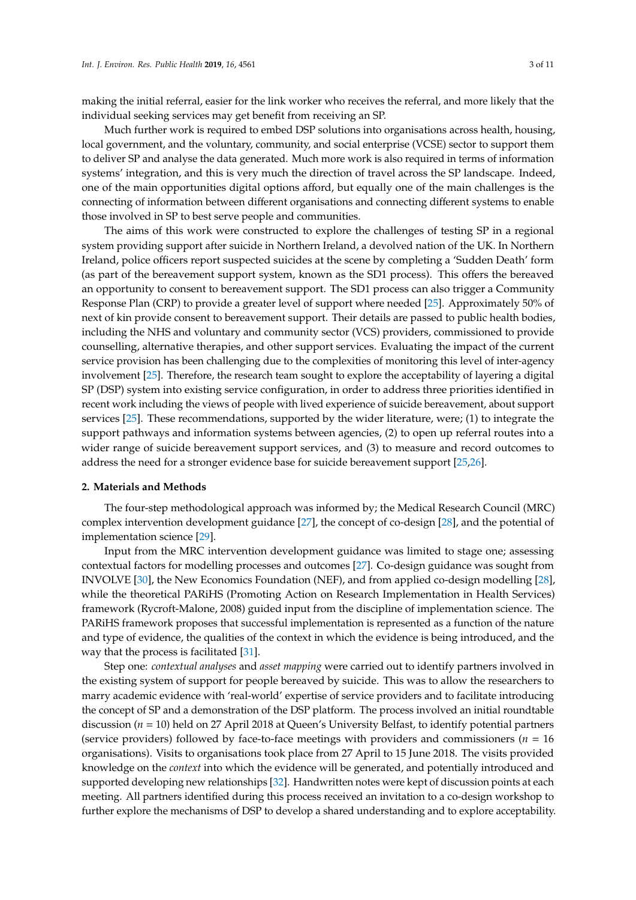making the initial referral, easier for the link worker who receives the referral, and more likely that the individual seeking services may get benefit from receiving an SP.

Much further work is required to embed DSP solutions into organisations across health, housing, local government, and the voluntary, community, and social enterprise (VCSE) sector to support them to deliver SP and analyse the data generated. Much more work is also required in terms of information systems' integration, and this is very much the direction of travel across the SP landscape. Indeed, one of the main opportunities digital options afford, but equally one of the main challenges is the connecting of information between different organisations and connecting different systems to enable those involved in SP to best serve people and communities.

The aims of this work were constructed to explore the challenges of testing SP in a regional system providing support after suicide in Northern Ireland, a devolved nation of the UK. In Northern Ireland, police officers report suspected suicides at the scene by completing a 'Sudden Death' form (as part of the bereavement support system, known as the SD1 process). This offers the bereaved an opportunity to consent to bereavement support. The SD1 process can also trigger a Community Response Plan (CRP) to provide a greater level of support where needed [\[25\]](#page-10-5). Approximately 50% of next of kin provide consent to bereavement support. Their details are passed to public health bodies, including the NHS and voluntary and community sector (VCS) providers, commissioned to provide counselling, alternative therapies, and other support services. Evaluating the impact of the current service provision has been challenging due to the complexities of monitoring this level of inter-agency involvement [\[25\]](#page-10-5). Therefore, the research team sought to explore the acceptability of layering a digital SP (DSP) system into existing service configuration, in order to address three priorities identified in recent work including the views of people with lived experience of suicide bereavement, about support services [\[25\]](#page-10-5). These recommendations, supported by the wider literature, were; (1) to integrate the support pathways and information systems between agencies, (2) to open up referral routes into a wider range of suicide bereavement support services, and (3) to measure and record outcomes to address the need for a stronger evidence base for suicide bereavement support [\[25,](#page-10-5)[26\]](#page-10-6).

#### **2. Materials and Methods**

The four-step methodological approach was informed by; the Medical Research Council (MRC) complex intervention development guidance [\[27\]](#page-10-7), the concept of co-design [\[28\]](#page-10-8), and the potential of implementation science [\[29\]](#page-10-9).

Input from the MRC intervention development guidance was limited to stage one; assessing contextual factors for modelling processes and outcomes [\[27\]](#page-10-7). Co-design guidance was sought from INVOLVE [\[30\]](#page-10-10), the New Economics Foundation (NEF), and from applied co-design modelling [\[28\]](#page-10-8), while the theoretical PARiHS (Promoting Action on Research Implementation in Health Services) framework (Rycroft-Malone, 2008) guided input from the discipline of implementation science. The PARiHS framework proposes that successful implementation is represented as a function of the nature and type of evidence, the qualities of the context in which the evidence is being introduced, and the way that the process is facilitated [\[31\]](#page-10-11).

Step one: *contextual analyses* and *asset mapping* were carried out to identify partners involved in the existing system of support for people bereaved by suicide. This was to allow the researchers to marry academic evidence with 'real-world' expertise of service providers and to facilitate introducing the concept of SP and a demonstration of the DSP platform. The process involved an initial roundtable discussion (*n* = 10) held on 27 April 2018 at Queen's University Belfast, to identify potential partners (service providers) followed by face-to-face meetings with providers and commissioners ( $n = 16$ ) organisations). Visits to organisations took place from 27 April to 15 June 2018. The visits provided knowledge on the *context* into which the evidence will be generated, and potentially introduced and supported developing new relationships [\[32\]](#page-10-12). Handwritten notes were kept of discussion points at each meeting. All partners identified during this process received an invitation to a co-design workshop to further explore the mechanisms of DSP to develop a shared understanding and to explore acceptability.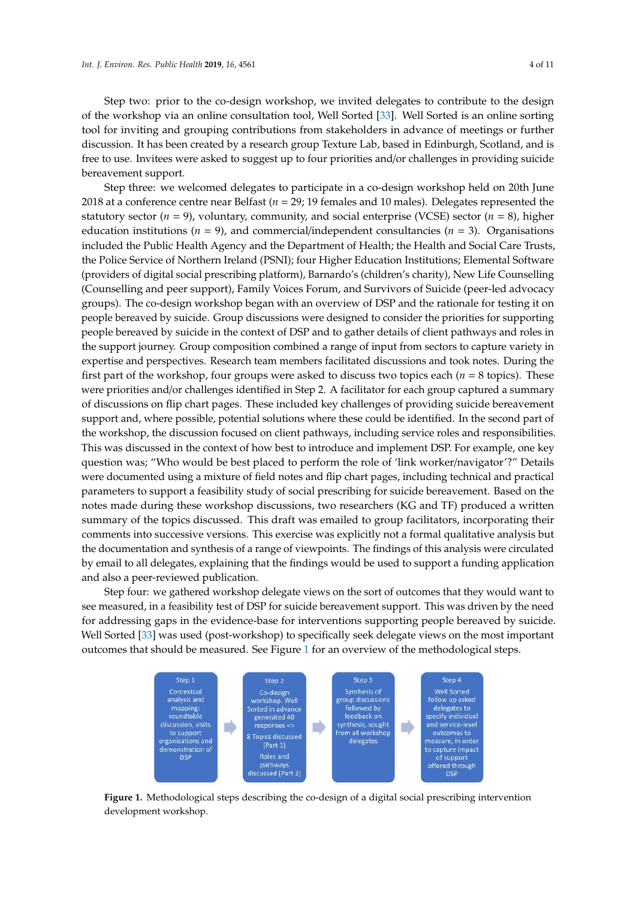Step two: prior to the co-design workshop, we invited delegates to contribute to the design of the workshop via an online consultation tool, Well Sorted [\[33\]](#page-10-13). Well Sorted is an online sorting tool for inviting and grouping contributions from stakeholders in advance of meetings or further discussion. It has been created by a research group Texture Lab, based in Edinburgh, Scotland, and is free to use. Invitees were asked to suggest up to four priorities and/or challenges in providing suicide bereavement support.  $S_{\text{S}}$  three-step three-step to participate in a co-design workshop held on  $20-1$ 

Step three: we welcomed delegates to participate in a co-design workshop held on 20th June 2018 at a conference centre near Belfast ( $n = 29$ ; 19 females and 10 males). Delegates represented the statutory sector ( $n = 9$ ), voluntary, community, and social enterprise (VCSE) sector ( $n = 8$ ), higher education institutions ( $n = 9$ ), and commercial/independent consultancies ( $n = 3$ ). Organisations included the Public Health Agency and the Department of Health; the Health and Social Care Trusts, the Police Service of Northern Ireland (PSNI); four Higher Education Institutions; Elemental Software (providers of digital social prescribing platform), Barnardo's (children's charity), New Life Counselling Counselling and peer support), Family Voices Forum, and Survivors of Suicide (peer-led advocacy groups). The co-design workshop began with an overview of DSP and the rationale for testing it on people bereaved by suicide. Group discussions were designed to consider the priorities for supporting people bereaved by suicide in the context of DSP and to gather details of client pathways and roles in the support journey. Group composition combined a range of input from sectors to capture variety in expertise and perspectives. Research team members facilitated discussions and took notes. During the first part of the workshop, four groups were asked to discuss two topics each ( $n = 8$  topics). These were priorities and/or challenges identified in Step 2. A facilitator for each group captured a summary of discussions on flip chart pages. These included key challenges of providing suicide bereavement support and, where possible, potential solutions where these could be identified. In the second part of the workshop, the discussion focused on client pathways, including service roles and responsibilities. This was discussed in the context of how best to introduce and implement DSP. For example, one key question was; "Who would be best placed to perform the role of 'link worker/navigator'?" Details were documented using a mixture of field notes and flip chart pages, including technical and practical parameters to support a feasibility study of social prescribing for suicide bereavement. Based on the notes made during these workshop discussions, two researchers (KG and TF) produced a written summary of the topics discussed. This draft was emailed to group facilitators, incorporating their comments into successive versions. This exercise was explicitly not a formal qualitative analysis but the documentation and synthesis of a range of viewpoints. The findings of this analysis were circulated by email to all delegates, explaining that the findings would be used to support a funding application and also a peer-reviewed publication.

Step four: we gathered workshop delegate views on the sort of outcomes that they would want to see measured, in a feasibility test of DSP for suicide bereavement support. This was driven by the need for addressing gaps in the evidence-base for interventions supporting people bereaved by suicide. Well Sorted [\[33\]](#page-10-13) was used (post-workshop) to specifically seek delegate views on the most important outcomes that should be measured. See Figure [1](#page-3-0) for an overview of the methodological steps.

<span id="page-3-0"></span>

 $\bf{f}$ development workshop.  $\bf{f}$ **Figure 1.** Methodological steps describing the co-design of a digital social prescribing intervention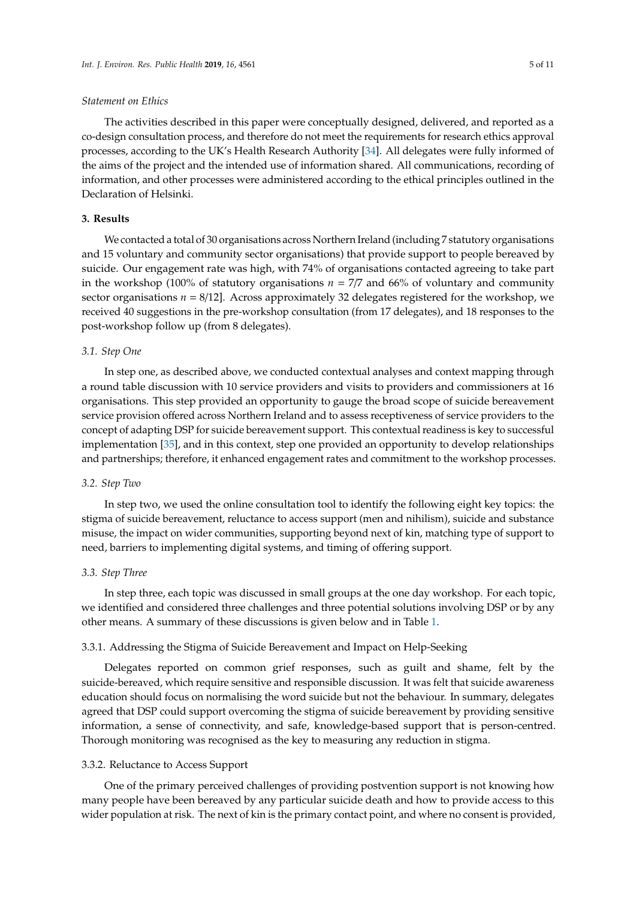#### *Statement on Ethics*

The activities described in this paper were conceptually designed, delivered, and reported as a co-design consultation process, and therefore do not meet the requirements for research ethics approval processes, according to the UK's Health Research Authority [\[34\]](#page-10-14). All delegates were fully informed of the aims of the project and the intended use of information shared. All communications, recording of information, and other processes were administered according to the ethical principles outlined in the Declaration of Helsinki.

#### **3. Results**

We contacted a total of 30 organisations across Northern Ireland (including 7 statutory organisations and 15 voluntary and community sector organisations) that provide support to people bereaved by suicide. Our engagement rate was high, with 74% of organisations contacted agreeing to take part in the workshop (100% of statutory organisations *n* = 7/7 and 66% of voluntary and community sector organisations  $n = 8/12$ ]. Across approximately 32 delegates registered for the workshop, we received 40 suggestions in the pre-workshop consultation (from 17 delegates), and 18 responses to the post-workshop follow up (from 8 delegates).

#### *3.1. Step One*

In step one, as described above, we conducted contextual analyses and context mapping through a round table discussion with 10 service providers and visits to providers and commissioners at 16 organisations. This step provided an opportunity to gauge the broad scope of suicide bereavement service provision offered across Northern Ireland and to assess receptiveness of service providers to the concept of adapting DSP for suicide bereavement support. This contextual readiness is key to successful implementation [\[35\]](#page-10-15), and in this context, step one provided an opportunity to develop relationships and partnerships; therefore, it enhanced engagement rates and commitment to the workshop processes.

#### *3.2. Step Two*

In step two, we used the online consultation tool to identify the following eight key topics: the stigma of suicide bereavement, reluctance to access support (men and nihilism), suicide and substance misuse, the impact on wider communities, supporting beyond next of kin, matching type of support to need, barriers to implementing digital systems, and timing of offering support.

#### *3.3. Step Three*

In step three, each topic was discussed in small groups at the one day workshop. For each topic, we identified and considered three challenges and three potential solutions involving DSP or by any other means. A summary of these discussions is given below and in Table [1.](#page-5-0)

#### 3.3.1. Addressing the Stigma of Suicide Bereavement and Impact on Help-Seeking

Delegates reported on common grief responses, such as guilt and shame, felt by the suicide-bereaved, which require sensitive and responsible discussion. It was felt that suicide awareness education should focus on normalising the word suicide but not the behaviour. In summary, delegates agreed that DSP could support overcoming the stigma of suicide bereavement by providing sensitive information, a sense of connectivity, and safe, knowledge-based support that is person-centred. Thorough monitoring was recognised as the key to measuring any reduction in stigma.

#### 3.3.2. Reluctance to Access Support

One of the primary perceived challenges of providing postvention support is not knowing how many people have been bereaved by any particular suicide death and how to provide access to this wider population at risk. The next of kin is the primary contact point, and where no consent is provided,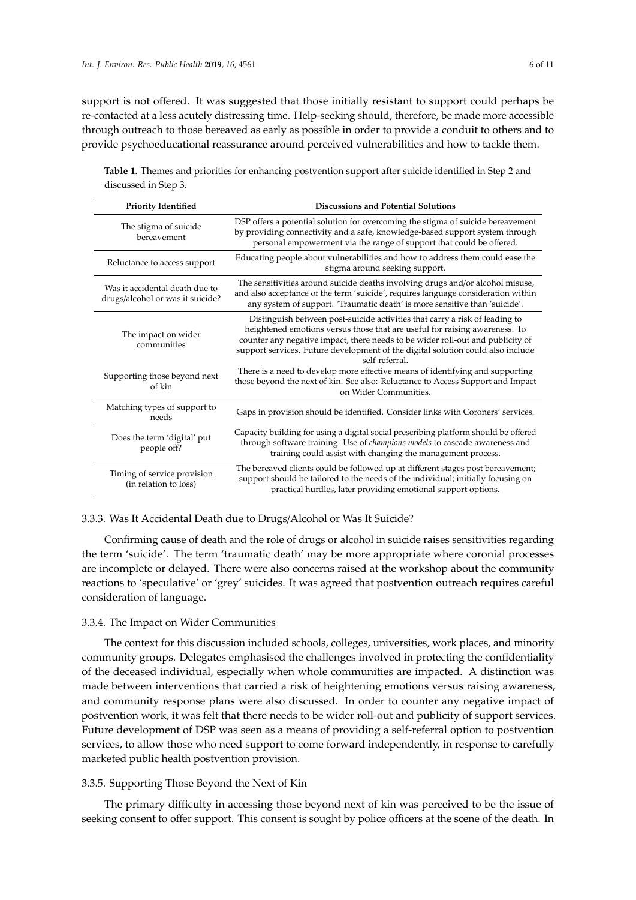support is not offered. It was suggested that those initially resistant to support could perhaps be re-contacted at a less acutely distressing time. Help-seeking should, therefore, be made more accessible through outreach to those bereaved as early as possible in order to provide a conduit to others and to provide psychoeducational reassurance around perceived vulnerabilities and how to tackle them.

<span id="page-5-0"></span>**Table 1.** Themes and priorities for enhancing postvention support after suicide identified in Step 2 and discussed in Step 3.

| <b>Priority Identified</b>                                         | <b>Discussions and Potential Solutions</b>                                                                                                                                                                                                                                                                                                       |
|--------------------------------------------------------------------|--------------------------------------------------------------------------------------------------------------------------------------------------------------------------------------------------------------------------------------------------------------------------------------------------------------------------------------------------|
| The stigma of suicide<br>bereavement                               | DSP offers a potential solution for overcoming the stigma of suicide bereavement<br>by providing connectivity and a safe, knowledge-based support system through<br>personal empowerment via the range of support that could be offered.                                                                                                         |
| Reluctance to access support                                       | Educating people about vulnerabilities and how to address them could ease the<br>stigma around seeking support.                                                                                                                                                                                                                                  |
| Was it accidental death due to<br>drugs/alcohol or was it suicide? | The sensitivities around suicide deaths involving drugs and/or alcohol misuse,<br>and also acceptance of the term 'suicide', requires language consideration within<br>any system of support. 'Traumatic death' is more sensitive than 'suicide'.                                                                                                |
| The impact on wider<br>communities                                 | Distinguish between post-suicide activities that carry a risk of leading to<br>heightened emotions versus those that are useful for raising awareness. To<br>counter any negative impact, there needs to be wider roll-out and publicity of<br>support services. Future development of the digital solution could also include<br>self-referral. |
| Supporting those beyond next<br>of kin                             | There is a need to develop more effective means of identifying and supporting<br>those beyond the next of kin. See also: Reluctance to Access Support and Impact<br>on Wider Communities.                                                                                                                                                        |
| Matching types of support to<br>needs                              | Gaps in provision should be identified. Consider links with Coroners' services.                                                                                                                                                                                                                                                                  |
| Does the term 'digital' put<br>people off?                         | Capacity building for using a digital social prescribing platform should be offered<br>through software training. Use of champions models to cascade awareness and<br>training could assist with changing the management process.                                                                                                                |
| Timing of service provision<br>(in relation to loss)               | The bereaved clients could be followed up at different stages post bereavement;<br>support should be tailored to the needs of the individual; initially focusing on<br>practical hurdles, later providing emotional support options.                                                                                                             |

#### 3.3.3. Was It Accidental Death due to Drugs/Alcohol or Was It Suicide?

Confirming cause of death and the role of drugs or alcohol in suicide raises sensitivities regarding the term 'suicide'. The term 'traumatic death' may be more appropriate where coronial processes are incomplete or delayed. There were also concerns raised at the workshop about the community reactions to 'speculative' or 'grey' suicides. It was agreed that postvention outreach requires careful consideration of language.

#### 3.3.4. The Impact on Wider Communities

The context for this discussion included schools, colleges, universities, work places, and minority community groups. Delegates emphasised the challenges involved in protecting the confidentiality of the deceased individual, especially when whole communities are impacted. A distinction was made between interventions that carried a risk of heightening emotions versus raising awareness, and community response plans were also discussed. In order to counter any negative impact of postvention work, it was felt that there needs to be wider roll-out and publicity of support services. Future development of DSP was seen as a means of providing a self-referral option to postvention services, to allow those who need support to come forward independently, in response to carefully marketed public health postvention provision.

#### 3.3.5. Supporting Those Beyond the Next of Kin

The primary difficulty in accessing those beyond next of kin was perceived to be the issue of seeking consent to offer support. This consent is sought by police officers at the scene of the death. In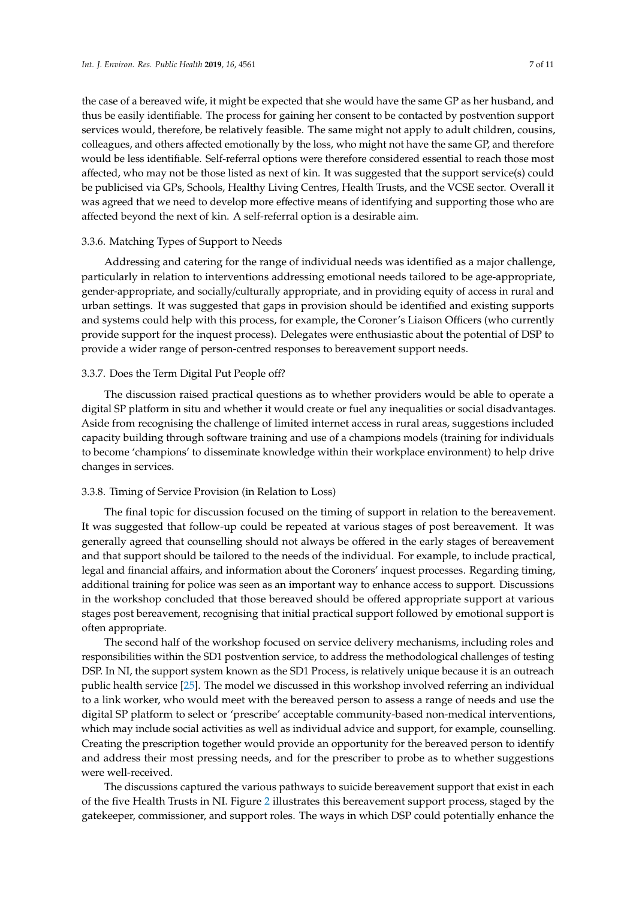the case of a bereaved wife, it might be expected that she would have the same GP as her husband, and thus be easily identifiable. The process for gaining her consent to be contacted by postvention support services would, therefore, be relatively feasible. The same might not apply to adult children, cousins, colleagues, and others affected emotionally by the loss, who might not have the same GP, and therefore would be less identifiable. Self-referral options were therefore considered essential to reach those most affected, who may not be those listed as next of kin. It was suggested that the support service(s) could be publicised via GPs, Schools, Healthy Living Centres, Health Trusts, and the VCSE sector. Overall it was agreed that we need to develop more effective means of identifying and supporting those who are affected beyond the next of kin. A self-referral option is a desirable aim.

#### 3.3.6. Matching Types of Support to Needs

Addressing and catering for the range of individual needs was identified as a major challenge, particularly in relation to interventions addressing emotional needs tailored to be age-appropriate, gender-appropriate, and socially/culturally appropriate, and in providing equity of access in rural and urban settings. It was suggested that gaps in provision should be identified and existing supports and systems could help with this process, for example, the Coroner's Liaison Officers (who currently provide support for the inquest process). Delegates were enthusiastic about the potential of DSP to provide a wider range of person-centred responses to bereavement support needs.

### 3.3.7. Does the Term Digital Put People off?

The discussion raised practical questions as to whether providers would be able to operate a digital SP platform in situ and whether it would create or fuel any inequalities or social disadvantages. Aside from recognising the challenge of limited internet access in rural areas, suggestions included capacity building through software training and use of a champions models (training for individuals to become 'champions' to disseminate knowledge within their workplace environment) to help drive changes in services.

#### 3.3.8. Timing of Service Provision (in Relation to Loss)

The final topic for discussion focused on the timing of support in relation to the bereavement. It was suggested that follow-up could be repeated at various stages of post bereavement. It was generally agreed that counselling should not always be offered in the early stages of bereavement and that support should be tailored to the needs of the individual. For example, to include practical, legal and financial affairs, and information about the Coroners' inquest processes. Regarding timing, additional training for police was seen as an important way to enhance access to support. Discussions in the workshop concluded that those bereaved should be offered appropriate support at various stages post bereavement, recognising that initial practical support followed by emotional support is often appropriate.

The second half of the workshop focused on service delivery mechanisms, including roles and responsibilities within the SD1 postvention service, to address the methodological challenges of testing DSP. In NI, the support system known as the SD1 Process, is relatively unique because it is an outreach public health service [\[25\]](#page-10-5). The model we discussed in this workshop involved referring an individual to a link worker, who would meet with the bereaved person to assess a range of needs and use the digital SP platform to select or 'prescribe' acceptable community-based non-medical interventions, which may include social activities as well as individual advice and support, for example, counselling. Creating the prescription together would provide an opportunity for the bereaved person to identify and address their most pressing needs, and for the prescriber to probe as to whether suggestions were well-received.

The discussions captured the various pathways to suicide bereavement support that exist in each of the five Health Trusts in NI. Figure [2](#page-7-0) illustrates this bereavement support process, staged by the gatekeeper, commissioner, and support roles. The ways in which DSP could potentially enhance the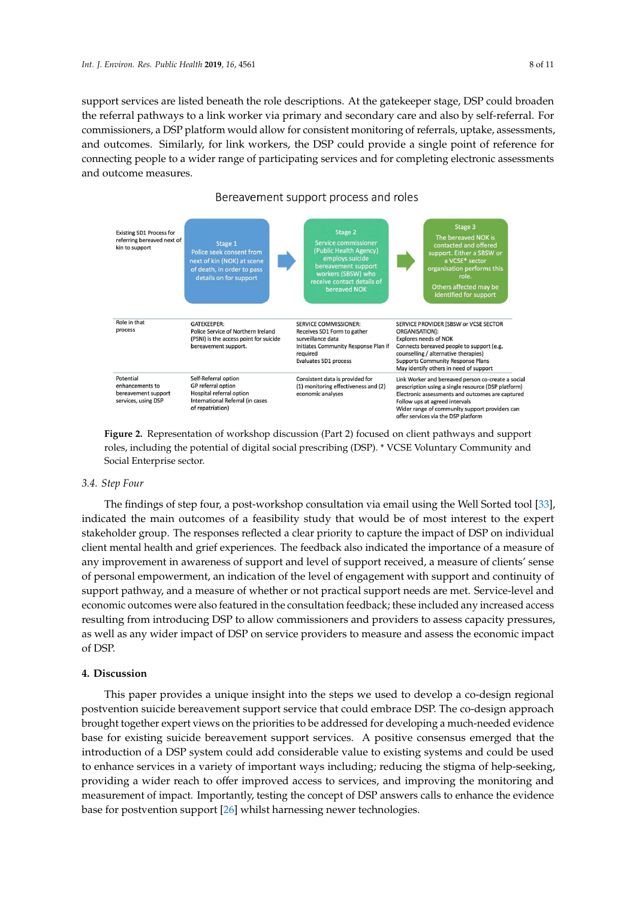support services are listed beneath the role descriptions. At the gatekeeper stage, DSP could broaden the referral pathways to a link worker via primary and secondary care and also by self-referral. For commissioners, a DSP platform would allow for consistent monitoring of referrals, uptake, assessments, commissioners, a DSP platform would allow for consistent monitoring of referrals, uptake, and outcomes. Similarly, for link workers, the DSP could provide a single point of reference for connecting people to a wider range of participating services and for completing electronic assessments and outcome measures. electronic assessments and outcome measures. the referral pathways to a link worker via primary and secondary care and also by self-referral. For

<span id="page-7-0"></span>

#### Bereavement support process and roles

**Figure 2.** Representation of workshop discussion (Part 2) focused on client pathways and support roles, including the potential of digital social prescribing (DSP). \* VCSE Voluntary Community and roles, including the potential of digital social prescribing (DSP). \* VCSE Voluntary Community and Social Enterprise sector. Social Enterprise sector. **Figure 2.** Representation of workshop discussion (Part 2) focused on client pathways and support

## *3.4. Step Four 3.4. Step Four*

The findings of step four, a post-workshop consultation via email using the Well Sorted tool [33], The findings of step four, a post-workshop consultation via email using the Well Sorted tool [\[33\]](#page-10-13), indicated the main outcomes of a feasibility study that would be of most interest to the expert indicated the main outcomes of a feasibility study that would be of most interest to the expert stakeholder group. The responses reflected a clear priority to capture the impact of DSP on individual stakeholder group. The responses reflected a clear priority to capture the impact of DSP on individual client mental health and grief experiences. The feedback also indicated the importance of a measure client mental health and grief experiences. The feedback also indicated the importance of a measure of any improvement in awareness of support and level of support received, a measure of clients' sense of personal empowerment, an indication of the level of engagement with support and continuity of continuity of support pathway, and a measure of whether or not practical support needs are met. Comies level support pathway, and a measure of whether or not practical support needs are met. Service-level and economic outcomes were also featured in the consultation feedback; these included any increased access resulting from introducing DSP to allow commissioners and providers to assess capacity pressures, as well as any wider impact of DSP on service providers to measure and assess the economic impact of DSP.

#### $T_{\rm tot}$  a unique insight into the steps we used to develop a co-design regional co-design regional co-design regional co-design regional co-design regional co-design regional co-design regional co-design regional co-desi **4. Discussion**

This paper provides a unique insight into the steps we used to develop a co-design regional postvention suicide bereavement support service that could embrace DSP. The co-design approach evidence base for existing suicide base for existing to be a discovered that developed that a positive consensus emerged that deviation that the services of the services. A positive consensus emerged that the services of t brought together expert views on the priorities to be addressed for developing a much-needed evidence<br>. base for existing suicide bereavement support services. A positive consensus emerged that the introduction of a DSP system could add considerable value to existing systems and could be used to enhance services in a variety of important ways including; reducing the stigma of help-seeking, providing a wider reach to offer improved access to services, and improving the monitoring and measurement of impact. Importantly, testing the concept of DSP answers calls to enhance the evidence base for postvention support [\[26\]](#page-10-6) whilst harnessing newer technologies.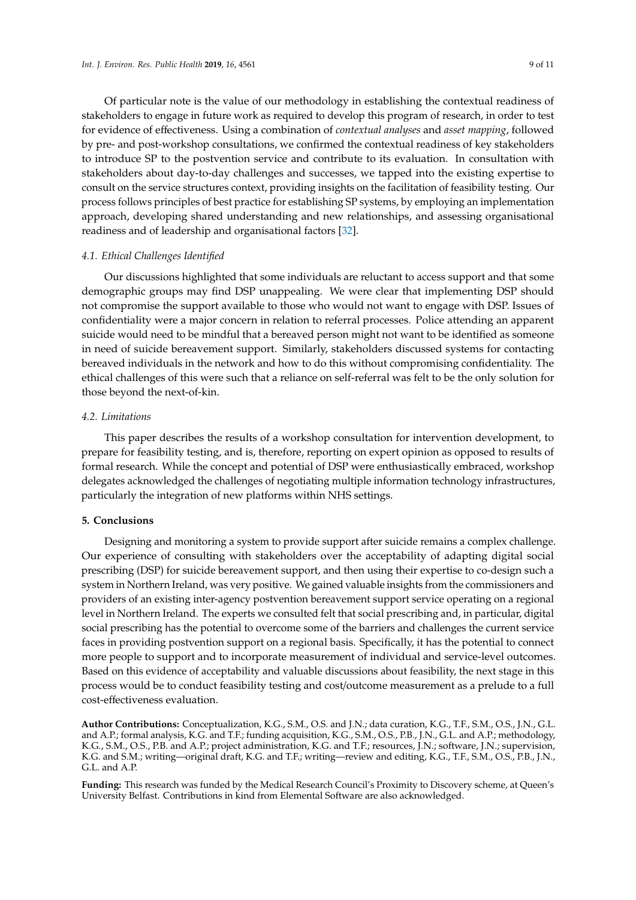Of particular note is the value of our methodology in establishing the contextual readiness of stakeholders to engage in future work as required to develop this program of research, in order to test for evidence of effectiveness. Using a combination of *contextual analyses* and *asset mapping*, followed by pre- and post-workshop consultations, we confirmed the contextual readiness of key stakeholders to introduce SP to the postvention service and contribute to its evaluation. In consultation with stakeholders about day-to-day challenges and successes, we tapped into the existing expertise to consult on the service structures context, providing insights on the facilitation of feasibility testing. Our process follows principles of best practice for establishing SP systems, by employing an implementation approach, developing shared understanding and new relationships, and assessing organisational readiness and of leadership and organisational factors [\[32\]](#page-10-12).

#### *4.1. Ethical Challenges Identified*

Our discussions highlighted that some individuals are reluctant to access support and that some demographic groups may find DSP unappealing. We were clear that implementing DSP should not compromise the support available to those who would not want to engage with DSP. Issues of confidentiality were a major concern in relation to referral processes. Police attending an apparent suicide would need to be mindful that a bereaved person might not want to be identified as someone in need of suicide bereavement support. Similarly, stakeholders discussed systems for contacting bereaved individuals in the network and how to do this without compromising confidentiality. The ethical challenges of this were such that a reliance on self-referral was felt to be the only solution for those beyond the next-of-kin.

#### *4.2. Limitations*

This paper describes the results of a workshop consultation for intervention development, to prepare for feasibility testing, and is, therefore, reporting on expert opinion as opposed to results of formal research. While the concept and potential of DSP were enthusiastically embraced, workshop delegates acknowledged the challenges of negotiating multiple information technology infrastructures, particularly the integration of new platforms within NHS settings.

#### **5. Conclusions**

Designing and monitoring a system to provide support after suicide remains a complex challenge. Our experience of consulting with stakeholders over the acceptability of adapting digital social prescribing (DSP) for suicide bereavement support, and then using their expertise to co-design such a system in Northern Ireland, was very positive. We gained valuable insights from the commissioners and providers of an existing inter-agency postvention bereavement support service operating on a regional level in Northern Ireland. The experts we consulted felt that social prescribing and, in particular, digital social prescribing has the potential to overcome some of the barriers and challenges the current service faces in providing postvention support on a regional basis. Specifically, it has the potential to connect more people to support and to incorporate measurement of individual and service-level outcomes. Based on this evidence of acceptability and valuable discussions about feasibility, the next stage in this process would be to conduct feasibility testing and cost/outcome measurement as a prelude to a full cost-effectiveness evaluation.

**Author Contributions:** Conceptualization, K.G., S.M., O.S. and J.N.; data curation, K.G., T.F., S.M., O.S., J.N., G.L. and A.P.; formal analysis, K.G. and T.F.; funding acquisition, K.G., S.M., O.S., P.B., J.N., G.L. and A.P.; methodology, K.G., S.M., O.S., P.B. and A.P.; project administration, K.G. and T.F.; resources, J.N.; software, J.N.; supervision, K.G. and S.M.; writing—original draft, K.G. and T.F.; writing—review and editing, K.G., T.F., S.M., O.S., P.B., J.N., G.L. and A.P.

**Funding:** This research was funded by the Medical Research Council's Proximity to Discovery scheme, at Queen's University Belfast. Contributions in kind from Elemental Software are also acknowledged.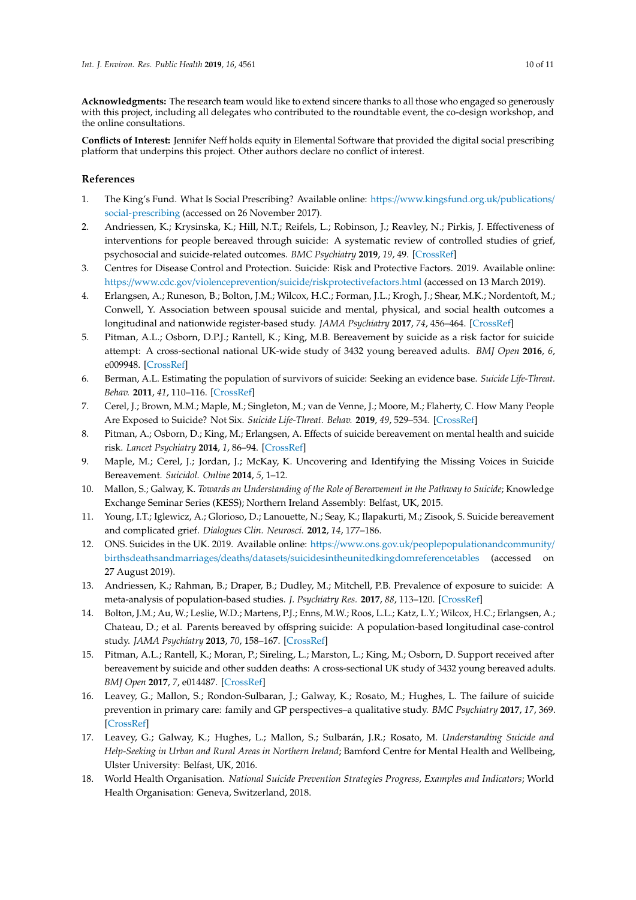**Acknowledgments:** The research team would like to extend sincere thanks to all those who engaged so generously with this project, including all delegates who contributed to the roundtable event, the co-design workshop, and the online consultations.

**Conflicts of Interest:** Jennifer Neff holds equity in Elemental Software that provided the digital social prescribing platform that underpins this project. Other authors declare no conflict of interest.

#### **References**

- <span id="page-9-0"></span>1. The King's Fund. What Is Social Prescribing? Available online: https://[www.kingsfund.org.uk](https://www.kingsfund.org.uk/publications/social-prescribing)/publications/ [social-prescribing](https://www.kingsfund.org.uk/publications/social-prescribing) (accessed on 26 November 2017).
- <span id="page-9-1"></span>2. Andriessen, K.; Krysinska, K.; Hill, N.T.; Reifels, L.; Robinson, J.; Reavley, N.; Pirkis, J. Effectiveness of interventions for people bereaved through suicide: A systematic review of controlled studies of grief, psychosocial and suicide-related outcomes. *BMC Psychiatry* **2019**, *19*, 49. [\[CrossRef\]](http://dx.doi.org/10.1186/s12888-019-2020-z)
- <span id="page-9-2"></span>3. Centres for Disease Control and Protection. Suicide: Risk and Protective Factors. 2019. Available online: https://www.cdc.gov/violenceprevention/suicide/[riskprotectivefactors.html](https://www.cdc.gov/violenceprevention/suicide/riskprotectivefactors.html) (accessed on 13 March 2019).
- <span id="page-9-3"></span>4. Erlangsen, A.; Runeson, B.; Bolton, J.M.; Wilcox, H.C.; Forman, J.L.; Krogh, J.; Shear, M.K.; Nordentoft, M.; Conwell, Y. Association between spousal suicide and mental, physical, and social health outcomes a longitudinal and nationwide register-based study. *JAMA Psychiatry* **2017**, *74*, 456–464. [\[CrossRef\]](http://dx.doi.org/10.1001/jamapsychiatry.2017.0226)
- <span id="page-9-4"></span>5. Pitman, A.L.; Osborn, D.P.J.; Rantell, K.; King, M.B. Bereavement by suicide as a risk factor for suicide attempt: A cross-sectional national UK-wide study of 3432 young bereaved adults. *BMJ Open* **2016**, *6*, e009948. [\[CrossRef\]](http://dx.doi.org/10.1136/bmjopen-2015-009948)
- <span id="page-9-5"></span>6. Berman, A.L. Estimating the population of survivors of suicide: Seeking an evidence base. *Suicide Life-Threat. Behav.* **2011**, *41*, 110–116. [\[CrossRef\]](http://dx.doi.org/10.1111/j.1943-278X.2010.00009.x)
- <span id="page-9-6"></span>7. Cerel, J.; Brown, M.M.; Maple, M.; Singleton, M.; van de Venne, J.; Moore, M.; Flaherty, C. How Many People Are Exposed to Suicide? Not Six. *Suicide Life-Threat. Behav.* **2019**, *49*, 529–534. [\[CrossRef\]](http://dx.doi.org/10.1111/sltb.12450)
- <span id="page-9-7"></span>8. Pitman, A.; Osborn, D.; King, M.; Erlangsen, A. Effects of suicide bereavement on mental health and suicide risk. *Lancet Psychiatry* **2014**, *1*, 86–94. [\[CrossRef\]](http://dx.doi.org/10.1016/S2215-0366(14)70224-X)
- <span id="page-9-8"></span>9. Maple, M.; Cerel, J.; Jordan, J.; McKay, K. Uncovering and Identifying the Missing Voices in Suicide Bereavement. *Suicidol. Online* **2014**, *5*, 1–12.
- <span id="page-9-9"></span>10. Mallon, S.; Galway, K. *Towards an Understanding of the Role of Bereavement in the Pathway to Suicide*; Knowledge Exchange Seminar Series (KESS); Northern Ireland Assembly: Belfast, UK, 2015.
- <span id="page-9-10"></span>11. Young, I.T.; Iglewicz, A.; Glorioso, D.; Lanouette, N.; Seay, K.; Ilapakurti, M.; Zisook, S. Suicide bereavement and complicated grief. *Dialogues Clin. Neurosci.* **2012**, *14*, 177–186.
- <span id="page-9-11"></span>12. ONS. Suicides in the UK. 2019. Available online: https://www.ons.gov.uk/[peoplepopulationandcommunity](https://www.ons.gov.uk/peoplepopulationandcommunity/birthsdeathsandmarriages/deaths/datasets/suicidesintheunitedkingdomreferencetables)/ birthsdeathsandmarriages/deaths/datasets/[suicidesintheunitedkingdomreferencetables](https://www.ons.gov.uk/peoplepopulationandcommunity/birthsdeathsandmarriages/deaths/datasets/suicidesintheunitedkingdomreferencetables) (accessed on 27 August 2019).
- <span id="page-9-12"></span>13. Andriessen, K.; Rahman, B.; Draper, B.; Dudley, M.; Mitchell, P.B. Prevalence of exposure to suicide: A meta-analysis of population-based studies. *J. Psychiatry Res.* **2017**, *88*, 113–120. [\[CrossRef\]](http://dx.doi.org/10.1016/j.jpsychires.2017.01.017)
- 14. Bolton, J.M.; Au, W.; Leslie, W.D.; Martens, P.J.; Enns, M.W.; Roos, L.L.; Katz, L.Y.; Wilcox, H.C.; Erlangsen, A.; Chateau, D.; et al. Parents bereaved by offspring suicide: A population-based longitudinal case-control study. *JAMA Psychiatry* **2013**, *70*, 158–167. [\[CrossRef\]](http://dx.doi.org/10.1001/jamapsychiatry.2013.275)
- <span id="page-9-13"></span>15. Pitman, A.L.; Rantell, K.; Moran, P.; Sireling, L.; Marston, L.; King, M.; Osborn, D. Support received after bereavement by suicide and other sudden deaths: A cross-sectional UK study of 3432 young bereaved adults. *BMJ Open* **2017**, *7*, e014487. [\[CrossRef\]](http://dx.doi.org/10.1136/bmjopen-2016-014487)
- <span id="page-9-14"></span>16. Leavey, G.; Mallon, S.; Rondon-Sulbaran, J.; Galway, K.; Rosato, M.; Hughes, L. The failure of suicide prevention in primary care: family and GP perspectives–a qualitative study. *BMC Psychiatry* **2017**, *17*, 369. [\[CrossRef\]](http://dx.doi.org/10.1186/s12888-017-1508-7)
- <span id="page-9-15"></span>17. Leavey, G.; Galway, K.; Hughes, L.; Mallon, S.; Sulbarán, J.R.; Rosato, M. *Understanding Suicide and Help-Seeking in Urban and Rural Areas in Northern Ireland*; Bamford Centre for Mental Health and Wellbeing, Ulster University: Belfast, UK, 2016.
- <span id="page-9-16"></span>18. World Health Organisation. *National Suicide Prevention Strategies Progress, Examples and Indicators*; World Health Organisation: Geneva, Switzerland, 2018.